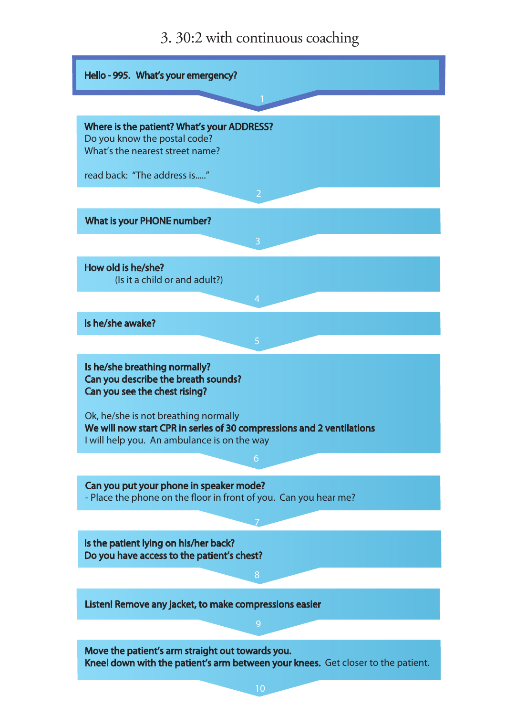## 3. 30:2 with continuous coaching